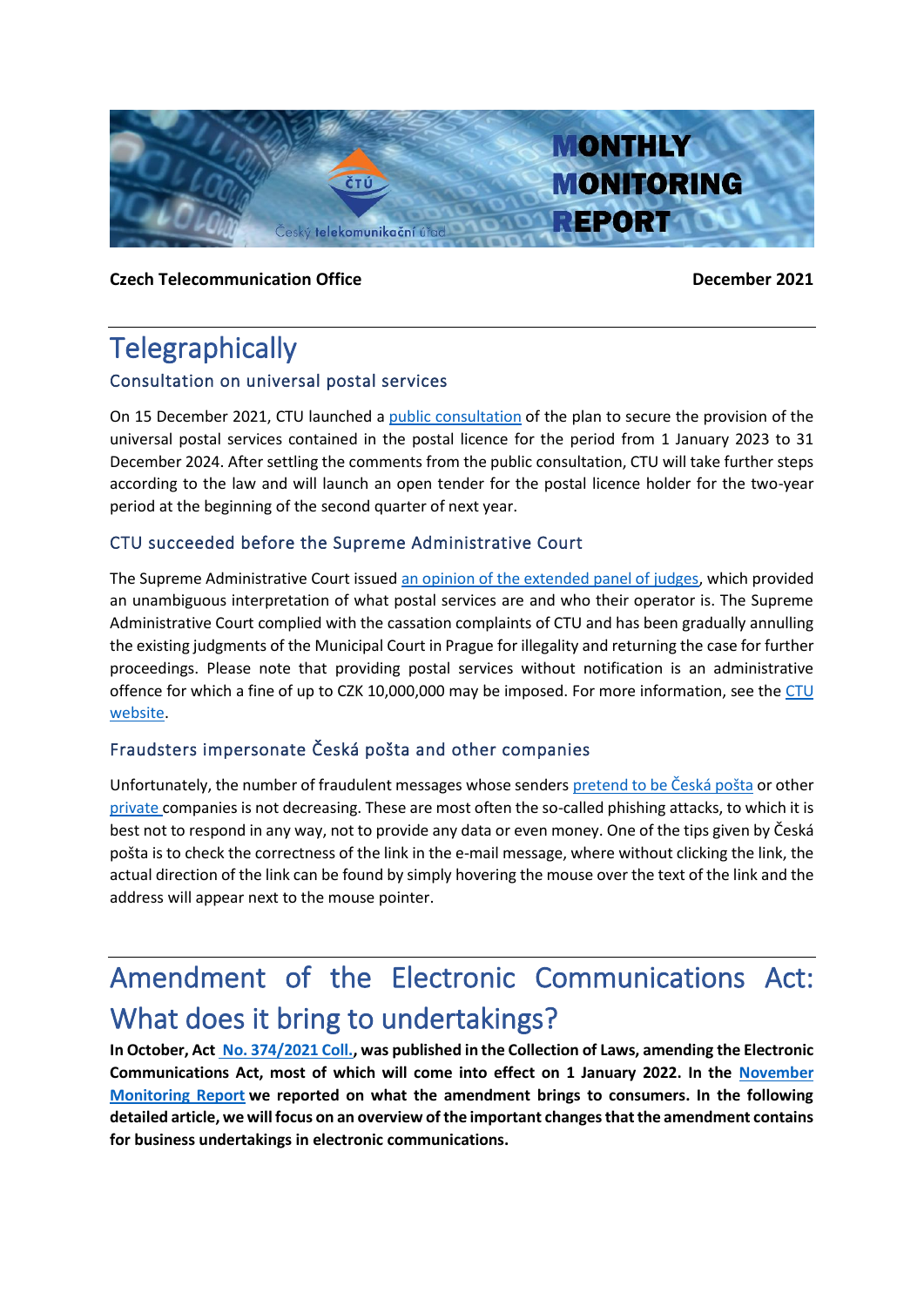

### **Czech Telecommunication Office December 2021**

## **Telegraphically**

### Consultation on universal postal services

On 15 December 2021, CTU launched a [public consultation](https://www.ctu.cz/vyzva-k-uplatneni-pripominek-k-zameru-k-zajisteni-poskytovani-zakladnich-sluzeb-podle-zakona-o) of the plan to secure the provision of the universal postal services contained in the postal licence for the period from 1 January 2023 to 31 December 2024. After settling the comments from the public consultation, CTU will take further steps according to the law and will launch an open tender for the postal licence holder for the two-year period at the beginning of the second quarter of next year.

### CTU succeeded before the Supreme Administrative Court

The Supreme Administrative Court issue[d an opinion of the extended panel of judges,](http://www.nssoud.cz/files/SOUDNI_VYKON/2018/0070_8As__1800100_20210914144543_20210915154036_prevedeno.pdf) which provided an unambiguous interpretation of what postal services are and who their operator is. The Supreme Administrative Court complied with the cassation complaints of CTU and has been gradually annulling the existing judgments of the Municipal Court in Prague for illegality and returning the case for further proceedings. Please note that providing postal services without notification is an administrative offence for which a fine of up to CZK 10,000,000 may be imposed. For more information, see the [CTU](https://www.ctu.cz/cesky-telekomunikacni-urad-uspel-pred-nejvyssim-spravnim-soudem-v-otazce-regulace-postovnich-sluzeb)  [website.](https://www.ctu.cz/cesky-telekomunikacni-urad-uspel-pred-nejvyssim-spravnim-soudem-v-otazce-regulace-postovnich-sluzeb)

### Fraudsters impersonate Česká pošta and other companies

Unfortunately, the number of fraudulent messages whose senders [pretend to be](https://www.ceskaposta.cz/-/podvodnych-zprav-vydavajicich-se-za-postu-pribyva) Česká pošta or other [private c](https://www.dhl.com/cz-cs/home/paticka/informovanost-o-podvodech.html)ompanies is not decreasing. These are most often the so-called phishing attacks, to which it is best not to respond in any way, not to provide any data or even money. One of the tips given by Česká pošta is to check the correctness of the link in the e-mail message, where without clicking the link, the actual direction of the link can be found by simply hovering the mouse over the text of the link and the address will appear next to the mouse pointer.

# Amendment of the Electronic Communications Act: What does it bring to undertakings?

**In October, Act No. 374/2021 Coll., was published in the Collection of Laws, amending the Electronic Communications Act, most of which will come into effect on 1 January 2022. In the [November](https://www.ctu.eu/sites/default/files/obsah/ctu/monthly-monitoring-report-no.11/2021/obrazky/202111mznaweben.pdf)  [Monitoring Report](https://www.ctu.eu/sites/default/files/obsah/ctu/monthly-monitoring-report-no.11/2021/obrazky/202111mznaweben.pdf) we reported on what the amendment brings to consumers. In the following detailed article, we will focus on an overview of the important changes that the amendment contains for business undertakings in electronic communications.**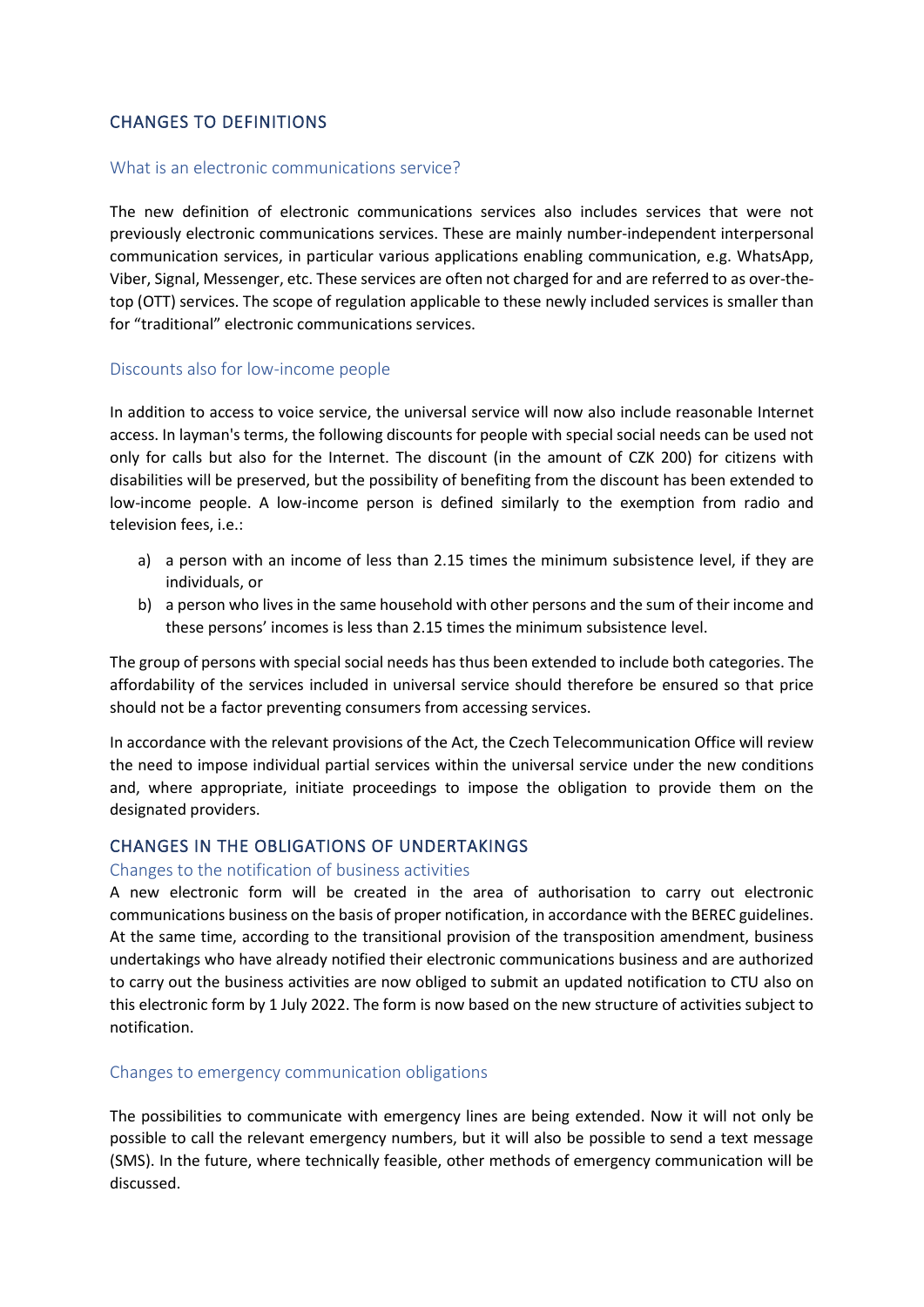### CHANGES TO DEFINITIONS

### What is an electronic communications service?

The new definition of electronic communications services also includes services that were not previously electronic communications services. These are mainly number-independent interpersonal communication services, in particular various applications enabling communication, e.g. WhatsApp, Viber, Signal, Messenger, etc. These services are often not charged for and are referred to as over-thetop (OTT) services. The scope of regulation applicable to these newly included services is smaller than for "traditional" electronic communications services.

### Discounts also for low-income people

In addition to access to voice service, the universal service will now also include reasonable Internet access. In layman's terms, the following discounts for people with special social needs can be used not only for calls but also for the Internet. The discount (in the amount of CZK 200) for citizens with disabilities will be preserved, but the possibility of benefiting from the discount has been extended to low-income people. A low-income person is defined similarly to the exemption from radio and television fees, i.e.:

- a) a person with an income of less than 2.15 times the minimum subsistence level, if they are individuals, or
- b) a person who lives in the same household with other persons and the sum of their income and these persons' incomes is less than 2.15 times the minimum subsistence level.

The group of persons with special social needs has thus been extended to include both categories. The affordability of the services included in universal service should therefore be ensured so that price should not be a factor preventing consumers from accessing services.

In accordance with the relevant provisions of the Act, the Czech Telecommunication Office will review the need to impose individual partial services within the universal service under the new conditions and, where appropriate, initiate proceedings to impose the obligation to provide them on the designated providers.

### CHANGES IN THE OBLIGATIONS OF UNDERTAKINGS

### Changes to the notification of business activities

A new electronic form will be created in the area of authorisation to carry out electronic communications business on the basis of proper notification, in accordance with the BEREC guidelines. At the same time, according to the transitional provision of the transposition amendment, business undertakings who have already notified their electronic communications business and are authorized to carry out the business activities are now obliged to submit an updated notification to CTU also on this electronic form by 1 July 2022. The form is now based on the new structure of activities subject to notification.

### Changes to emergency communication obligations

The possibilities to communicate with emergency lines are being extended. Now it will not only be possible to call the relevant emergency numbers, but it will also be possible to send a text message (SMS). In the future, where technically feasible, other methods of emergency communication will be discussed.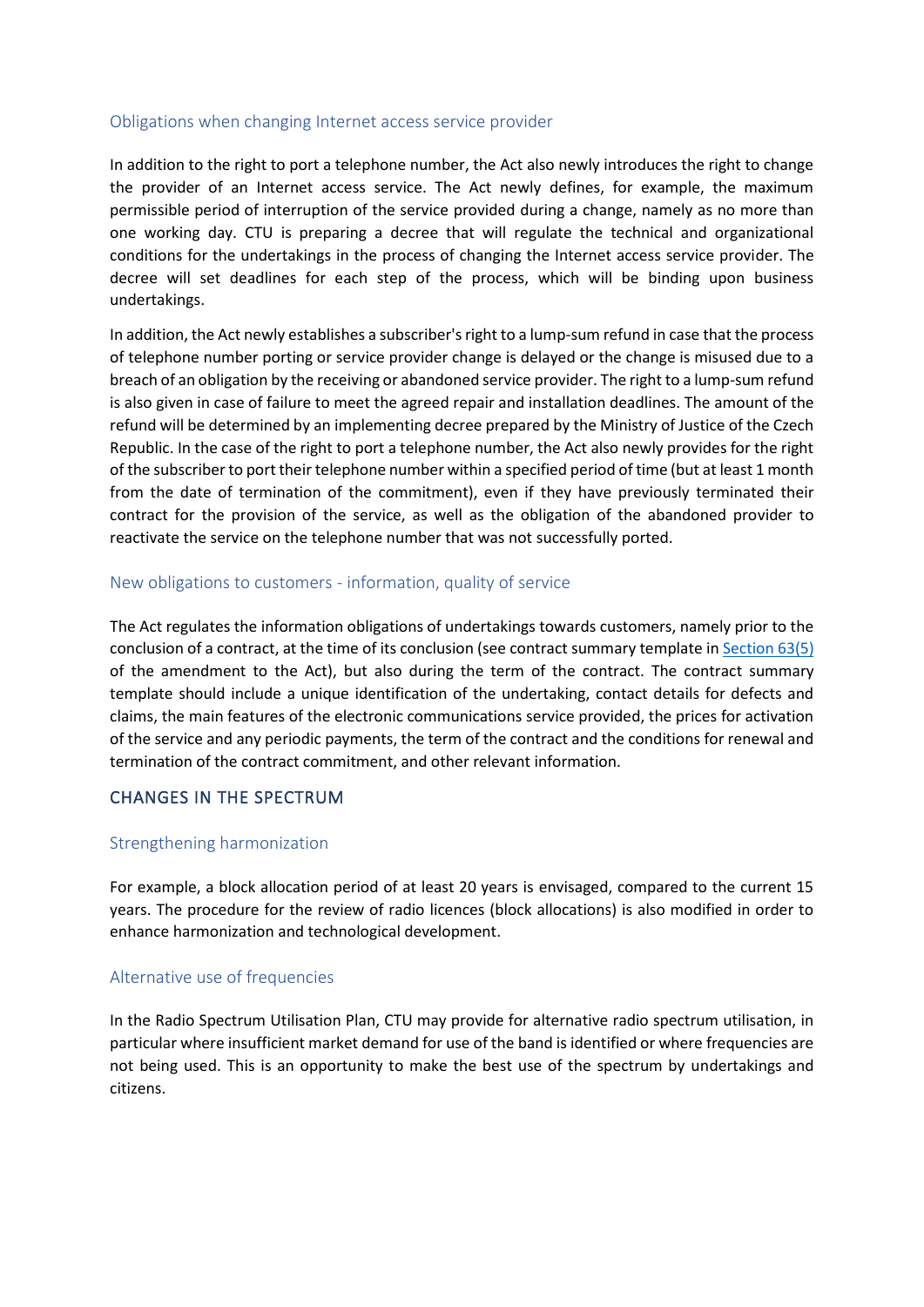#### Obligations when changing Internet access service provider

In addition to the right to port a telephone number, the Act also newly introduces the right to change the provider of an Internet access service. The Act newly defines, for example, the maximum permissible period of interruption of the service provided during a change, namely as no more than one working day. CTU is preparing a decree that will regulate the technical and organizational conditions for the undertakings in the process of changing the Internet access service provider. The decree will set deadlines for each step of the process, which will be binding upon business undertakings.

In addition, the Act newly establishes a subscriber's right to a lump-sum refund in case that the process of telephone number porting or service provider change is delayed or the change is misused due to a breach of an obligation by the receiving or abandoned service provider. The right to a lump-sum refund is also given in case of failure to meet the agreed repair and installation deadlines. The amount of the refund will be determined by an implementing decree prepared by the Ministry of Justice of the Czech Republic. In the case of the right to port a telephone number, the Act also newly provides for the right of the subscriber to port their telephone number within a specified period of time (but at least 1 month from the date of termination of the commitment), even if they have previously terminated their contract for the provision of the service, as well as the obligation of the abandoned provider to reactivate the service on the telephone number that was not successfully ported.

### New obligations to customers - information, quality of service

The Act regulates the information obligations of undertakings towards customers, namely prior to the conclusion of a contract, at the time of its conclusion (see contract summary template in [Section 63\(5\)](https://www.zakonyprolidi.cz/cs/2021-374#f7293601) of the amendment to the Act), but also during the term of the contract. The contract summary template should include a unique identification of the undertaking, contact details for defects and claims, the main features of the electronic communications service provided, the prices for activation of the service and any periodic payments, the term of the contract and the conditions for renewal and termination of the contract commitment, and other relevant information.

### CHANGES IN THE SPECTRUM

### Strengthening harmonization

For example, a block allocation period of at least 20 years is envisaged, compared to the current 15 years. The procedure for the review of radio licences (block allocations) is also modified in order to enhance harmonization and technological development.

### Alternative use of frequencies

In the Radio Spectrum Utilisation Plan, CTU may provide for alternative radio spectrum utilisation, in particular where insufficient market demand for use of the band is identified or where frequencies are not being used. This is an opportunity to make the best use of the spectrum by undertakings and citizens.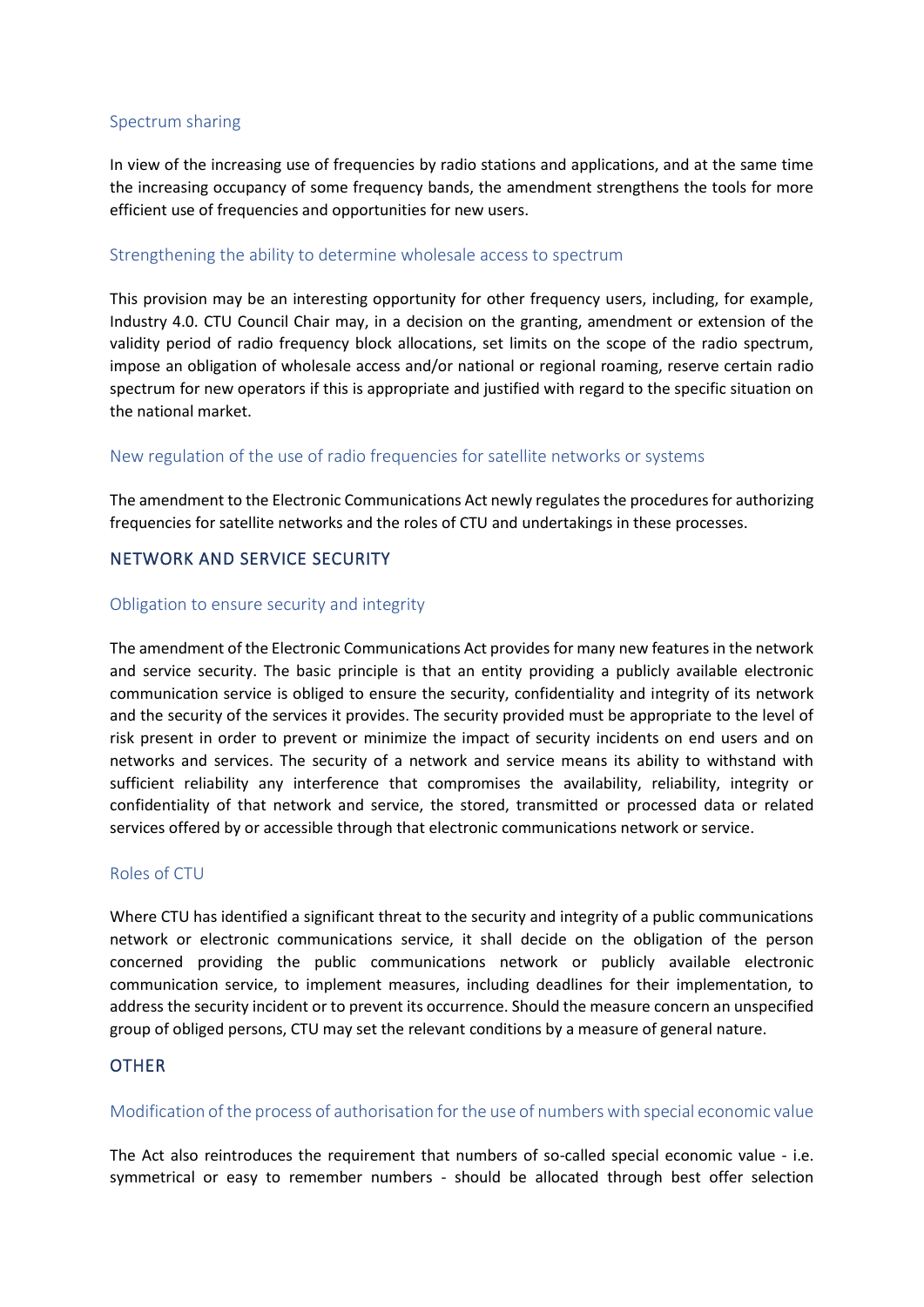### Spectrum sharing

In view of the increasing use of frequencies by radio stations and applications, and at the same time the increasing occupancy of some frequency bands, the amendment strengthens the tools for more efficient use of frequencies and opportunities for new users.

### Strengthening the ability to determine wholesale access to spectrum

This provision may be an interesting opportunity for other frequency users, including, for example, Industry 4.0. CTU Council Chair may, in a decision on the granting, amendment or extension of the validity period of radio frequency block allocations, set limits on the scope of the radio spectrum, impose an obligation of wholesale access and/or national or regional roaming, reserve certain radio spectrum for new operators if this is appropriate and justified with regard to the specific situation on the national market.

### New regulation of the use of radio frequencies for satellite networks or systems

The amendment to the Electronic Communications Act newly regulates the procedures for authorizing frequencies for satellite networks and the roles of CTU and undertakings in these processes.

### NETWORK AND SERVICE SECURITY

### Obligation to ensure security and integrity

The amendment of the Electronic Communications Act provides for many new features in the network and service security. The basic principle is that an entity providing a publicly available electronic communication service is obliged to ensure the security, confidentiality and integrity of its network and the security of the services it provides. The security provided must be appropriate to the level of risk present in order to prevent or minimize the impact of security incidents on end users and on networks and services. The security of a network and service means its ability to withstand with sufficient reliability any interference that compromises the availability, reliability, integrity or confidentiality of that network and service, the stored, transmitted or processed data or related services offered by or accessible through that electronic communications network or service.

### Roles of CTU

Where CTU has identified a significant threat to the security and integrity of a public communications network or electronic communications service, it shall decide on the obligation of the person concerned providing the public communications network or publicly available electronic communication service, to implement measures, including deadlines for their implementation, to address the security incident or to prevent its occurrence. Should the measure concern an unspecified group of obliged persons, CTU may set the relevant conditions by a measure of general nature.

### **OTHER**

### Modification of the process of authorisation for the use of numbers with special economic value

The Act also reintroduces the requirement that numbers of so-called special economic value - i.e. symmetrical or easy to remember numbers - should be allocated through best offer selection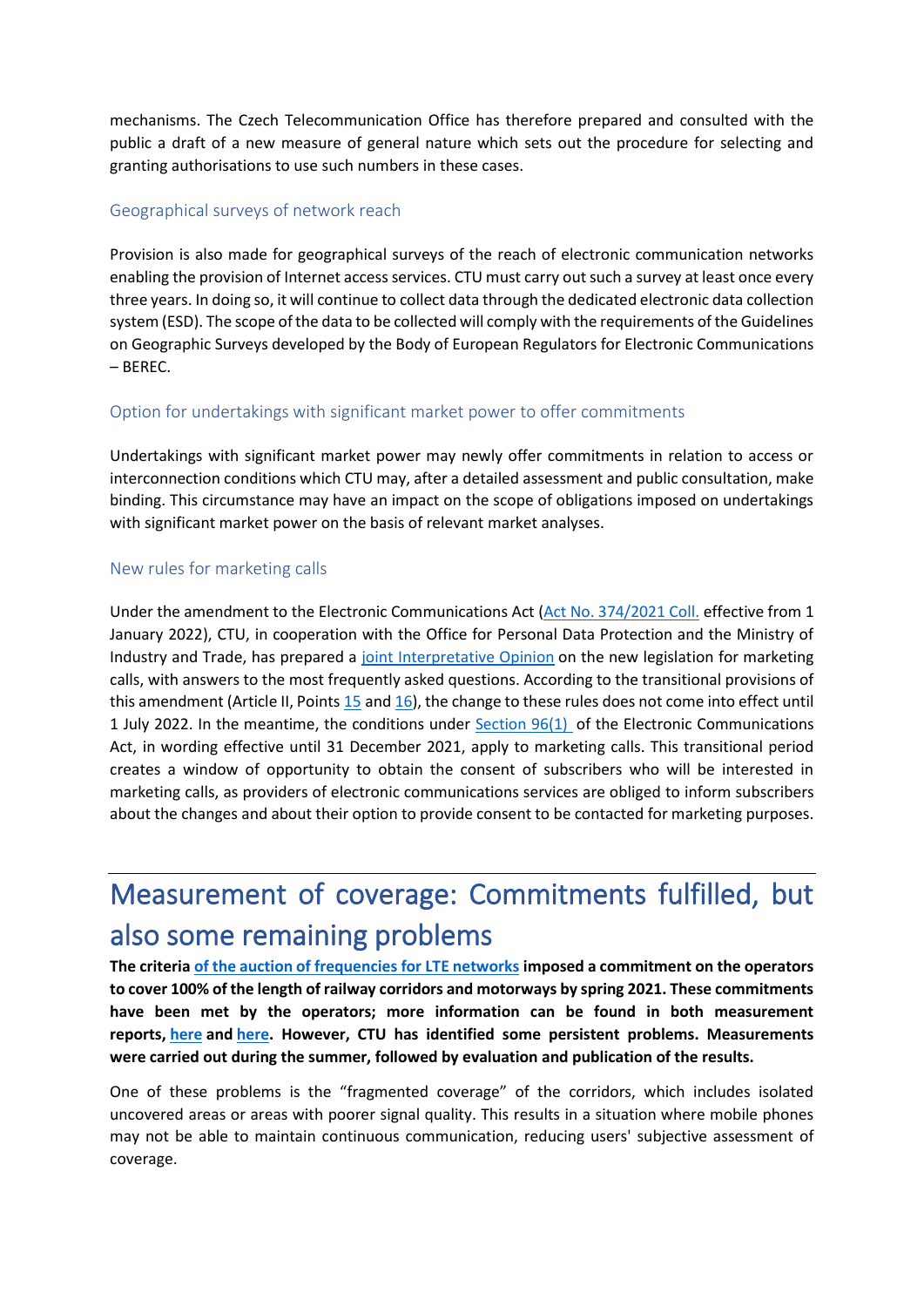mechanisms. The Czech Telecommunication Office has therefore prepared and consulted with the public a draft of a new measure of general nature which sets out the procedure for selecting and granting authorisations to use such numbers in these cases.

### Geographical surveys of network reach

Provision is also made for geographical surveys of the reach of electronic communication networks enabling the provision of Internet access services. CTU must carry out such a survey at least once every three years. In doing so, it will continue to collect data through the dedicated electronic data collection system (ESD). The scope of the data to be collected will comply with the requirements of the Guidelines on Geographic Surveys developed by the Body of European Regulators for Electronic Communications – BEREC.

### Option for undertakings with significant market power to offer commitments

Undertakings with significant market power may newly offer commitments in relation to access or interconnection conditions which CTU may, after a detailed assessment and public consultation, make binding. This circumstance may have an impact on the scope of obligations imposed on undertakings with significant market power on the basis of relevant market analyses.

### New rules for marketing calls

Under the amendment to the Electronic Communications Act [\(Act No. 374/2021 Coll.](https://www.zakonyprolidi.cz/cs/2021-374) effective from 1 January 2022), CTU, in cooperation with the Office for Personal Data Protection and the Ministry of Industry and Trade, has prepared a [joint Interpretative Opinion](https://www.ctu.cz/sites/default/files/obsah/ctu-new/telekomunikace/telemarketing/vykladove-stanovisko-telemarketing-a-faq.pdf) on the new legislation for marketing calls, with answers to the most frequently asked questions. According to the transitional provisions of this amendment (Article II, Points  $15$  and  $16$ ), the change to these rules does not come into effect until 1 July 2022. In the meantime, the conditions under [Section 96\(1\)](https://www.zakonyprolidi.cz/cs/2005-127#p96-1) of the Electronic Communications Act, in wording effective until 31 December 2021, apply to marketing calls. This transitional period creates a window of opportunity to obtain the consent of subscribers who will be interested in marketing calls, as providers of electronic communications services are obliged to inform subscribers about the changes and about their option to provide consent to be contacted for marketing purposes.

# Measurement of coverage: Commitments fulfilled, but also some remaining problems

**The criteria [of the auction of frequencies for LTE networks](https://www.ctu.cz/sites/default/files/obsah/stranky/vyhlaseni-vyberoveho-rizeni-2013/soubory/vyhlasenivyberovehorizeni15082013.pdf) imposed a commitment on the operators to cover 100% of the length of railway corridors and motorways by spring 2021. These commitments have been met by the operators; more information can be found in both measurement reports, [here](https://www.ctu.eu/mobile-networks-coverage-railway-corridors) and [here.](https://www.ctu.eu/mobile-network-coverage-highways) However, CTU has identified some persistent problems. Measurements were carried out during the summer, followed by evaluation and publication of the results.**

One of these problems is the "fragmented coverage" of the corridors, which includes isolated uncovered areas or areas with poorer signal quality. This results in a situation where mobile phones may not be able to maintain continuous communication, reducing users' subjective assessment of coverage.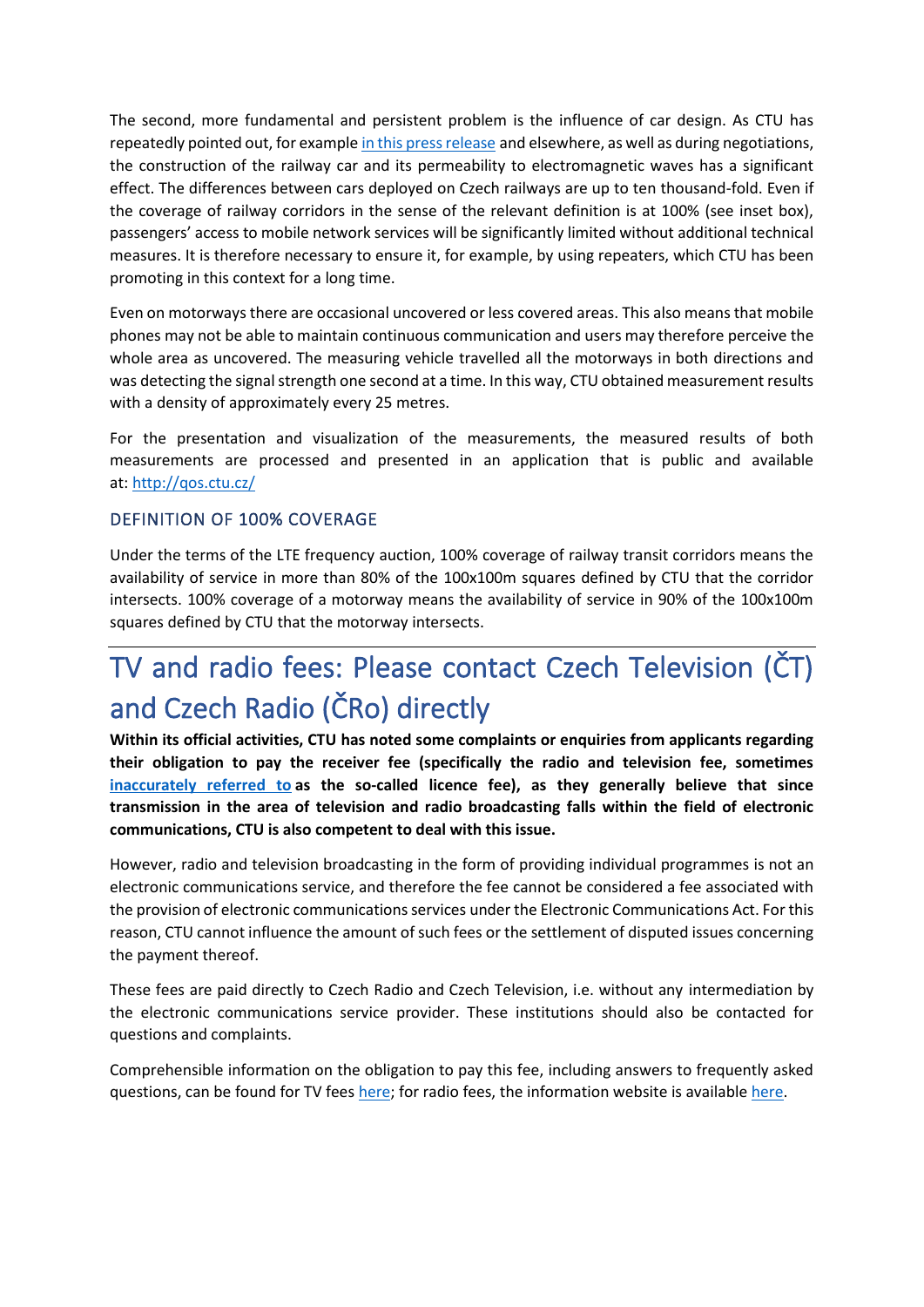The second, more fundamental and persistent problem is the influence of car design. As CTU has repeatedly pointed out, for example [in this press release](https://www.ctu.cz/tiskova-zprava-internet-ve-vlaku-zalezi-na-pokryti-i-na-typu-vagonu) and elsewhere, as well as during negotiations, the construction of the railway car and its permeability to electromagnetic waves has a significant effect. The differences between cars deployed on Czech railways are up to ten thousand-fold. Even if the coverage of railway corridors in the sense of the relevant definition is at 100% (see inset box), passengers' access to mobile network services will be significantly limited without additional technical measures. It is therefore necessary to ensure it, for example, by using repeaters, which CTU has been promoting in this context for a long time.

Even on motorways there are occasional uncovered or less covered areas. This also means that mobile phones may not be able to maintain continuous communication and users may therefore perceive the whole area as uncovered. The measuring vehicle travelled all the motorways in both directions and was detecting the signal strength one second at a time. In this way, CTU obtained measurement results with a density of approximately every 25 metres.

For the presentation and visualization of the measurements, the measured results of both measurements are processed and presented in an application that is public and available at: <http://qos.ctu.cz/>

### DEFINITION OF 100% COVERAGE

Under the terms of the LTE frequency auction, 100% coverage of railway transit corridors means the availability of service in more than 80% of the 100x100m squares defined by CTU that the corridor intersects. 100% coverage of a motorway means the availability of service in 90% of the 100x100m squares defined by CTU that the motorway intersects.

# TV and radio fees: Please contact Czech Television (ČT) and Czech Radio (ČRo) directly

**Within its official activities, CTU has noted some complaints or enquiries from applicants regarding their obligation to pay the receiver fee (specifically the radio and television fee, sometimes [inaccurately referred to](https://rpm.fss.muni.cz/Revue/Heslar/poplatky_a_koncese.htm) as the so-called licence fee), as they generally believe that since transmission in the area of television and radio broadcasting falls within the field of electronic communications, CTU is also competent to deal with this issue.**

However, radio and television broadcasting in the form of providing individual programmes is not an electronic communications service, and therefore the fee cannot be considered a fee associated with the provision of electronic communications services under the Electronic Communications Act. For this reason, CTU cannot influence the amount of such fees or the settlement of disputed issues concerning the payment thereof.

These fees are paid directly to Czech Radio and Czech Television, i.e. without any intermediation by the electronic communications service provider. These institutions should also be contacted for questions and complaints.

Comprehensible information on the obligation to pay this fee, including answers to frequently asked questions, can be found for TV fees [here;](https://poplatky.ceskatelevize.cz/domacnost) for radio fees, the information website is available [here.](https://poplatek.rozhlas.cz/)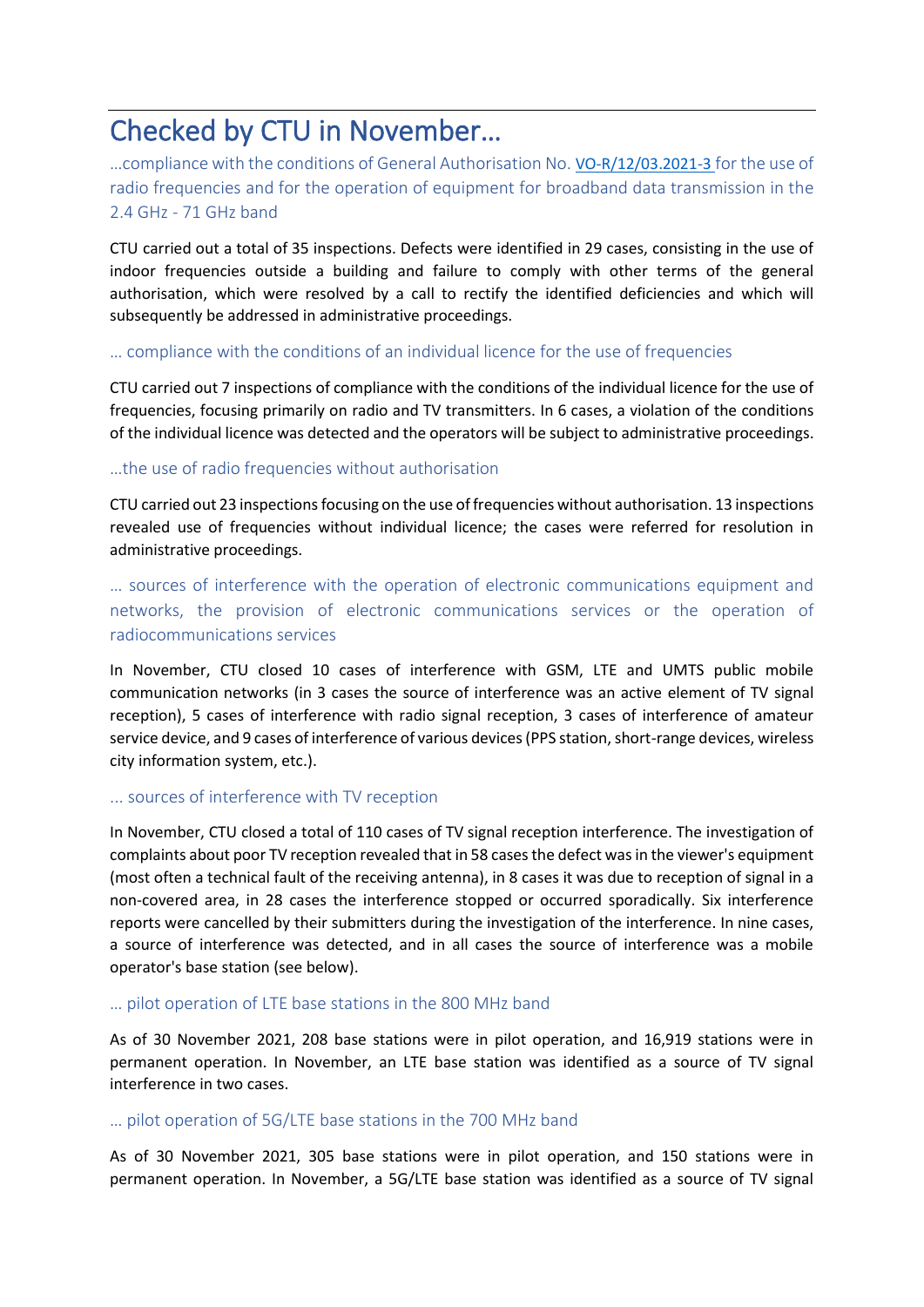# Checked by CTU in November…

…compliance with the conditions of General Authorisation No. [VO-R/12/03.2021-3](https://www.ctu.eu/sites/default/files/obsah/stranky/74784/soubory/vo-r-12-03.2021-3enfin.pdf) for the use of radio frequencies and for the operation of equipment for broadband data transmission in the 2.4 GHz - 71 GHz band

CTU carried out a total of 35 inspections. Defects were identified in 29 cases, consisting in the use of indoor frequencies outside a building and failure to comply with other terms of the general authorisation, which were resolved by a call to rectify the identified deficiencies and which will subsequently be addressed in administrative proceedings.

### … compliance with the conditions of an individual licence for the use of frequencies

CTU carried out 7 inspections of compliance with the conditions of the individual licence for the use of frequencies, focusing primarily on radio and TV transmitters. In 6 cases, a violation of the conditions of the individual licence was detected and the operators will be subject to administrative proceedings.

### …the use of radio frequencies without authorisation

CTU carried out 23 inspections focusing on the use of frequencies without authorisation. 13 inspections revealed use of frequencies without individual licence; the cases were referred for resolution in administrative proceedings.

… sources of interference with the operation of electronic communications equipment and networks, the provision of electronic communications services or the operation of radiocommunications services

In November, CTU closed 10 cases of interference with GSM, LTE and UMTS public mobile communication networks (in 3 cases the source of interference was an active element of TV signal reception), 5 cases of interference with radio signal reception, 3 cases of interference of amateur service device, and 9 cases of interference of various devices (PPS station, short-range devices, wireless city information system, etc.).

### ... sources of interference with TV reception

In November, CTU closed a total of 110 cases of TV signal reception interference. The investigation of complaints about poor TV reception revealed that in 58 cases the defect was in the viewer's equipment (most often a technical fault of the receiving antenna), in 8 cases it was due to reception of signal in a non-covered area, in 28 cases the interference stopped or occurred sporadically. Six interference reports were cancelled by their submitters during the investigation of the interference. In nine cases, a source of interference was detected, and in all cases the source of interference was a mobile operator's base station (see below).

### … pilot operation of LTE base stations in the 800 MHz band

As of 30 November 2021, 208 base stations were in pilot operation, and 16,919 stations were in permanent operation. In November, an LTE base station was identified as a source of TV signal interference in two cases.

### … pilot operation of 5G/LTE base stations in the 700 MHz band

As of 30 November 2021, 305 base stations were in pilot operation, and 150 stations were in permanent operation. In November, a 5G/LTE base station was identified as a source of TV signal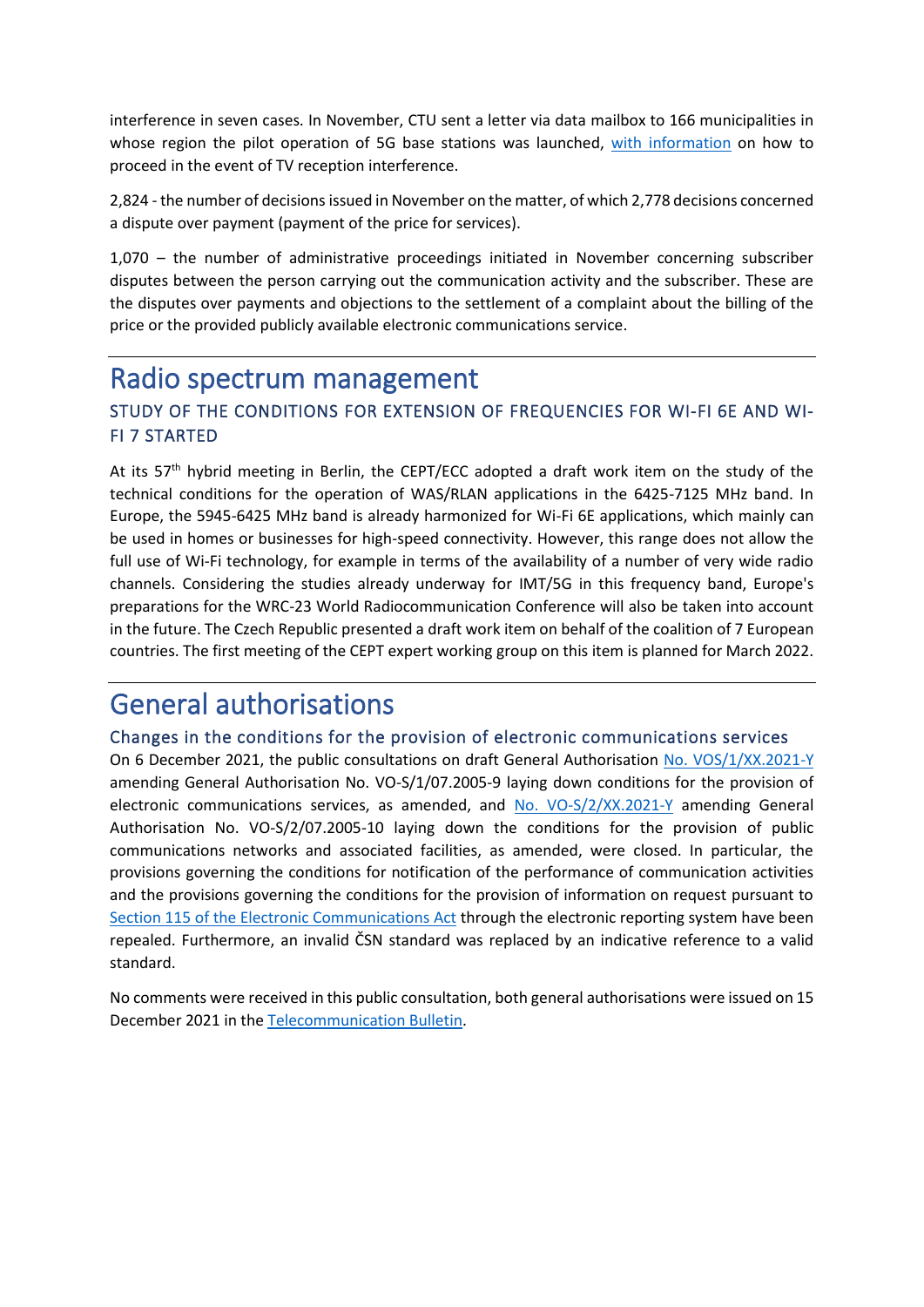interference in seven cases. In November, CTU sent a letter via data mailbox to 166 municipalities in whose region the pilot operation of 5G base stations was launched, [with information](https://www.ctu.eu/issues-related-lte-networks) on how to proceed in the event of TV reception interference.

2,824 - the number of decisions issued in November on the matter, of which 2,778 decisions concerned a dispute over payment (payment of the price for services).

1,070 – the number of administrative proceedings initiated in November concerning subscriber disputes between the person carrying out the communication activity and the subscriber. These are the disputes over payments and objections to the settlement of a complaint about the billing of the price or the provided publicly available electronic communications service.

### Radio spectrum management

### STUDY OF THE CONDITIONS FOR EXTENSION OF FREQUENCIES FOR WI-FI 6E AND WI-FI 7 STARTED

At its 57<sup>th</sup> hybrid meeting in Berlin, the CEPT/ECC adopted a draft work item on the study of the technical conditions for the operation of WAS/RLAN applications in the 6425-7125 MHz band. In Europe, the 5945-6425 MHz band is already harmonized for Wi-Fi 6E applications, which mainly can be used in homes or businesses for high-speed connectivity. However, this range does not allow the full use of Wi-Fi technology, for example in terms of the availability of a number of very wide radio channels. Considering the studies already underway for IMT/5G in this frequency band, Europe's preparations for the WRC-23 World Radiocommunication Conference will also be taken into account in the future. The Czech Republic presented a draft work item on behalf of the coalition of 7 European countries. The first meeting of the CEPT expert working group on this item is planned for March 2022.

### General authorisations

### Changes in the conditions for the provision of electronic communications services

On 6 December 2021, the public consultations on draft General Authorisation [No. VOS/1/XX.2021-Y](https://www.ctu.cz/vyzva-k-uplatneni-pripominek-k-navrhu-vseobecneho-opravneni-c-vo-s1xx2021-y-kterym-se-meni-vseobecne) amending General Authorisation No. VO-S/1/07.2005-9 laying down conditions for the provision of electronic communications services, as amended, and [No. VO-S/2/XX.2021-Y](https://www.ctu.cz/vyzva-k-uplatneni-pripominek-k-navrhu-vseobecneho-opravneni-c-vo-s2xx2021-y-kterym-se-meni-vseobecne) amending General Authorisation No. VO-S/2/07.2005-10 laying down the conditions for the provision of public communications networks and associated facilities, as amended, were closed. In particular, the provisions governing the conditions for notification of the performance of communication activities and the provisions governing the conditions for the provision of information on request pursuant to [Section 115 of the Electronic Communications Act](https://www.zakonyprolidi.cz/cs/2005-127#f2916905) through the electronic reporting system have been repealed. Furthermore, an invalid ČSN standard was replaced by an indicative reference to a valid standard.

No comments were received in this public consultation, both general authorisations were issued on 15 December 2021 in th[e Telecommunication Bulletin.](https://www.ctu.cz/telekomunikacni-vestnik-castka-122021)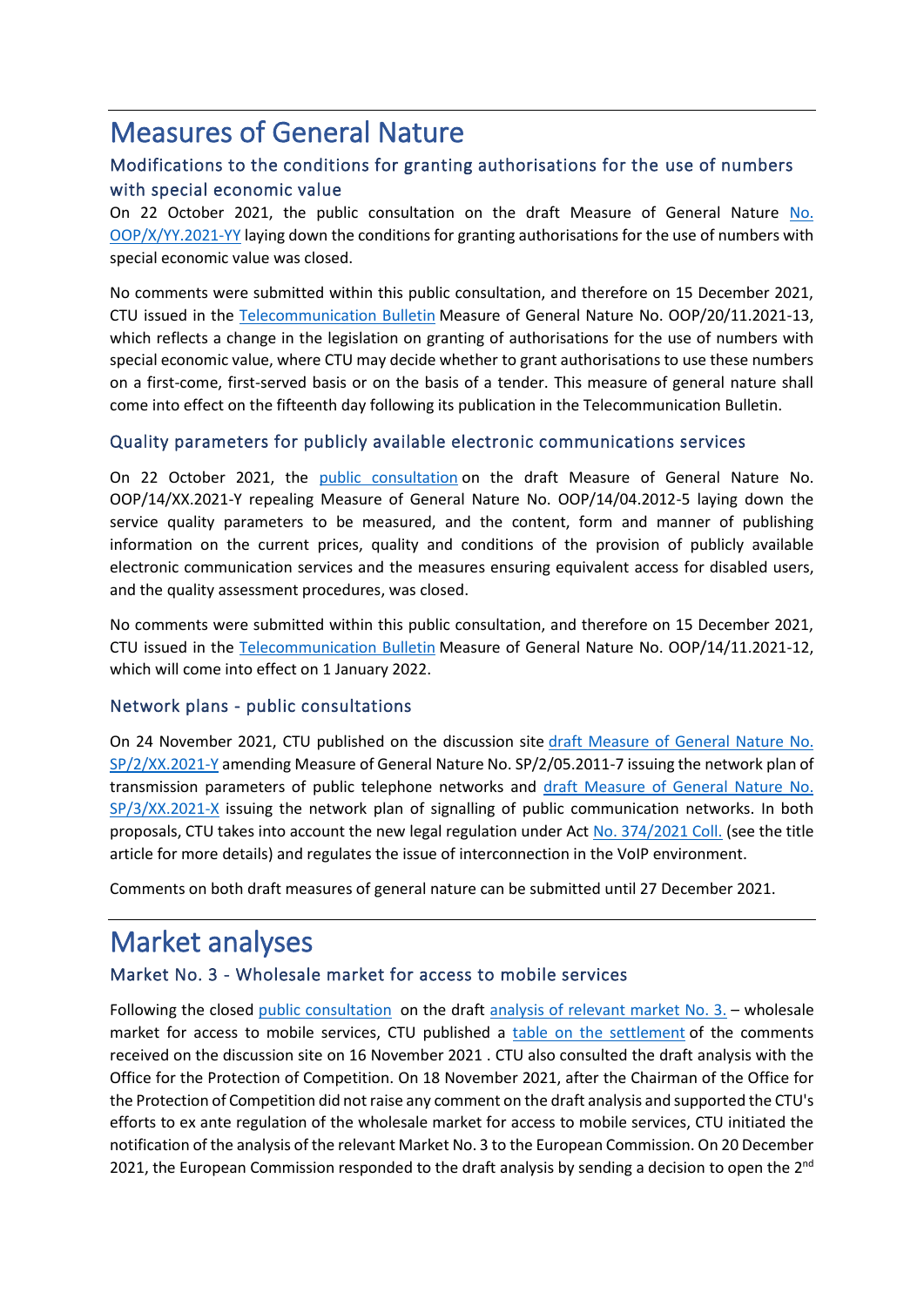## Measures of General Nature

### Modifications to the conditions for granting authorisations for the use of numbers with special economic value

On 22 October 2021, the public consultation on the draft Measure of General Nature [No.](https://www.ctu.cz/vyzva-k-uplatneni-pripominek-k-navrhu-opatreni-obecne-povahy-c-oopxyy2021-yy-kterym-se-stanovi)  [OOP/X/YY.2021-YY](https://www.ctu.cz/vyzva-k-uplatneni-pripominek-k-navrhu-opatreni-obecne-povahy-c-oopxyy2021-yy-kterym-se-stanovi) laying down the conditions for granting authorisations for the use of numbers with special economic value was closed.

No comments were submitted within this public consultation, and therefore on 15 December 2021, CTU issued in the [Telecommunication Bulletin](https://www.ctu.cz/telekomunikacni-vestnik-castka-122021https:/www.ctu.cz/telekomunikacni-vestnik-castka-122021) Measure of General Nature No. OOP/20/11.2021-13, which reflects a change in the legislation on granting of authorisations for the use of numbers with special economic value, where CTU may decide whether to grant authorisations to use these numbers on a first-come, first-served basis or on the basis of a tender. This measure of general nature shall come into effect on the fifteenth day following its publication in the Telecommunication Bulletin.

### Quality parameters for publicly available electronic communications services

On 22 October 2021, the [public consultation](https://www.ctu.cz/vyzva-k-uplatneni-pripominek-k-navrhu-opatreni-obecne-povahy-c-oop14xx2021-y-kterym-se-zrusuje) on the draft Measure of General Nature No. OOP/14/XX.2021-Y repealing Measure of General Nature No. OOP/14/04.2012-5 laying down the service quality parameters to be measured, and the content, form and manner of publishing information on the current prices, quality and conditions of the provision of publicly available electronic communication services and the measures ensuring equivalent access for disabled users, and the quality assessment procedures, was closed.

No comments were submitted within this public consultation, and therefore on 15 December 2021, CTU issued in the [Telecommunication Bulletin](https://www.ctu.cz/telekomunikacni-vestnik-castka-122021https:/www.ctu.cz/telekomunikacni-vestnik-castka-122021) Measure of General Nature No. OOP/14/11.2021-12, which will come into effect on 1 January 2022.

### Network plans - public consultations

On 24 November 2021, CTU published on the discussion site [draft Measure of General Nature No.](https://www.ctu.cz/vyzva-k-uplatneni-pripominek-k-opatreni-obecne-povahy-c-sp2xx2021-y-kterym-se-meni-opatreni-obecne)  [SP/2/XX.2021-Y](https://www.ctu.cz/vyzva-k-uplatneni-pripominek-k-opatreni-obecne-povahy-c-sp2xx2021-y-kterym-se-meni-opatreni-obecne) amending Measure of General Nature No. SP/2/05.2011-7 issuing the network plan of transmission parameters of public telephone networks and [draft Measure of General Nature No.](https://www.ctu.cz/vyzva-k-uplatneni-pripominek-k-opatreni-obecne-povahy-c-sp3xx2021-y-kterym-se-vydava-sitovy-plan)  [SP/3/XX.2021-X](https://www.ctu.cz/vyzva-k-uplatneni-pripominek-k-opatreni-obecne-povahy-c-sp3xx2021-y-kterym-se-vydava-sitovy-plan) issuing the network plan of signalling of public communication networks. In both proposals, CTU takes into account the new legal regulation under Act [No. 374/2021 Coll.](https://www.zakonyprolidi.cz/cs/2021-374) (see the title article for more details) and regulates the issue of interconnection in the VoIP environment.

Comments on both draft measures of general nature can be submitted until 27 December 2021.

### Market analyses

### Market No. 3 - Wholesale market for access to mobile services

Following the closed [public consultation](https://www.ctu.eu/call-comments-draft-measure-general-nature-a3xx2021-x-anaylsis-wholesale-market-access-mobile) on the draft [analysis of relevant market No. 3.](https://www.ctu.cz/sites/default/files/obsah/ctu/vyzva-k-uplatneni-pripominek-k-navrhu-opatreni-obecne-povahy-analyzy-trhu-c.a/3/xx.2021-x-trhu-c.3-velkoobchodni-trh-pristupu-k-mobilnim-sluzbam/obrazky/art3oopanalyzamobtrhuproverejnoukonzultaciverejna.pdf) – wholesale market for access to mobile services, CTU published a [table on the settlement](https://www.ctu.cz/sites/default/files/obsah/ctu/vyzva-k-uplatneni-pripominek-k-navrhu-opatreni-obecne-povahy-analyzy-trhu-c.a/3/xx.2021-x-trhu-c.3-velkoobchodni-trh-pristupu-k-mobilnim-sluzbam/obrazky/art3tabulkavyporadanifinalbezotkezverejnenispeceti.pdf) of the comments received on the discussion site on 16 November 2021 . CTU also consulted the draft analysis with the Office for the Protection of Competition. On 18 November 2021, after the Chairman of the Office for the Protection of Competition did not raise any comment on the draft analysis and supported the CTU's efforts to ex ante regulation of the wholesale market for access to mobile services, CTU initiated the notification of the analysis of the relevant Market No. 3 to the European Commission. On 20 December 2021, the European Commission responded to the draft analysis by sending a decision to open the  $2^{nd}$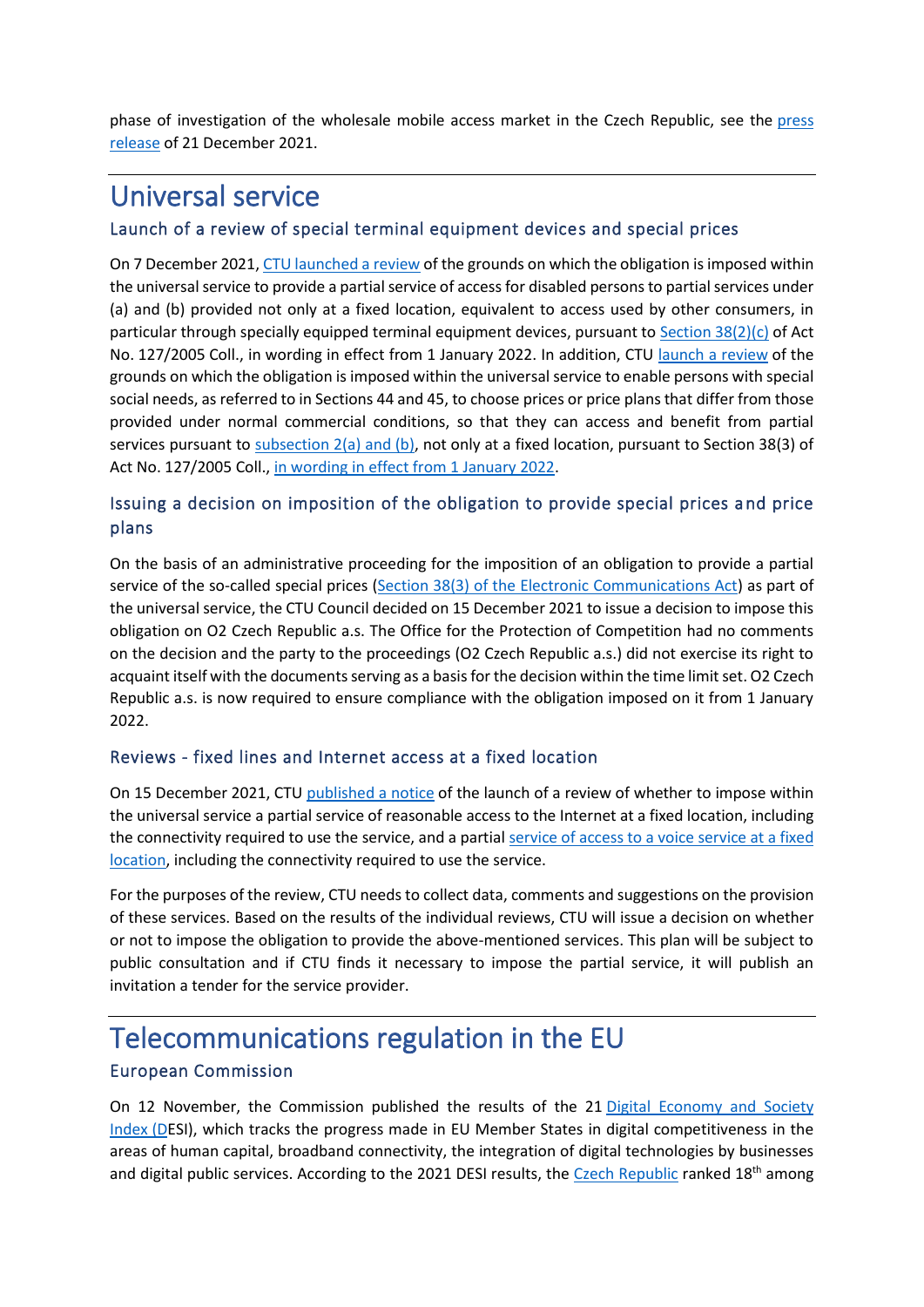phase of investigation of the wholesale mobile access market in the Czech Republic, see the [press](https://www.ctu.eu/press-release-draft-market-analysis-proposing-regulation-mobile-market-has-been-brought-2nd-phase)  [release](https://www.ctu.eu/press-release-draft-market-analysis-proposing-regulation-mobile-market-has-been-brought-2nd-phase) of 21 December 2021.

### Universal service

### Launch of a review of special terminal equipment devices and special prices

On 7 December 2021[, CTU launched](https://www.ctu.cz/sdeleni-o-zahajeni-prezkumu-duvodu-zde-je-treba-v-ramci-univerzalni-sluzby-ulozit-povinnost) a review of the grounds on which the obligation is imposed within the universal service to provide a partial service of access for disabled persons to partial services under (a) and (b) provided not only at a fixed location, equivalent to access used by other consumers, in particular through specially equipped terminal equipment devices, pursuant to Section  $38(2)(c)$  of Act No. 127/2005 Coll., in wording in effect from 1 January 2022. In addition, CTU [launch a review](https://www.ctu.cz/sdeleni-o-zahajeni-prezkumu-duvodu-na-jejichz-zaklade-je-v-ramci-univerzalni-sluzby-ulozena-9) of the grounds on which the obligation is imposed within the universal service to enable persons with special social needs, as referred to in Sections 44 and 45, to choose prices or price plans that differ from those provided under normal commercial conditions, so that they can access and benefit from partial services pursuant to subsection  $2(a)$  and (b), not only at a fixed location, pursuant to Section 38(3) of Act No. 127/2005 Coll., [in wording in effect from 1 January 2022.](https://www.zakonyprolidi.cz/cs/2005-127/zneni-20220101)

### Issuing a decision on imposition of the obligation to provide special prices and price plans

On the basis of an administrative proceeding for the imposition of an obligation to provide a partial service of the so-called special prices [\(Section 38\(3\) of the Electronic Communications Act\)](https://www.zakonyprolidi.cz/cs/2005-127#p38-3) as part of the universal service, the CTU Council decided on 15 December 2021 to issue a decision to impose this obligation on O2 Czech Republic a.s. The Office for the Protection of Competition had no comments on the decision and the party to the proceedings (O2 Czech Republic a.s.) did not exercise its right to acquaint itself with the documents serving as a basis for the decision within the time limit set. O2 Czech Republic a.s. is now required to ensure compliance with the obligation imposed on it from 1 January 2022.

### Reviews - fixed lines and Internet access at a fixed location

On 15 December 2021, CTU [published a notice](https://www.ctu.cz/sdeleni-o-zahajeni-prezkumu-duvodu-zda-je-treba-v-ramci-univerzalni-sluzby-ulozit-povinnost) of the launch of a review of whether to impose within the universal service a partial service of reasonable access to the Internet at a fixed location, including the connectivity required to use the service, and a partial service of access to a voice service at a fixed [location,](https://www.ctu.cz/sdeleni-o-zahajeni-prezkumu-duvodu-na-jejichz-zaklade-nebyla-ulozena-povinnost-poskytovat-v-ramci) including the connectivity required to use the service.

For the purposes of the review, CTU needs to collect data, comments and suggestions on the provision of these services. Based on the results of the individual reviews, CTU will issue a decision on whether or not to impose the obligation to provide the above-mentioned services. This plan will be subject to public consultation and if CTU finds it necessary to impose the partial service, it will publish an invitation a tender for the service provider.

### Telecommunications regulation in the EU

### European Commission

On 12 November, the Commission published the results of the 21 Digital Economy and Society [Index](https://ec.europa.eu/commission/presscorner/detail/en/ip_21_5481) (DESI), which tracks the progress made in EU Member States in digital competitiveness in the areas of human capital, broadband connectivity, the integration of digital technologies by businesses and digital public services. According to the 2021 DESI results, th[e Czech Republic](https://digital-strategy.ec.europa.eu/en/policies/countries-digitisation-performance) ranked 18<sup>th</sup> among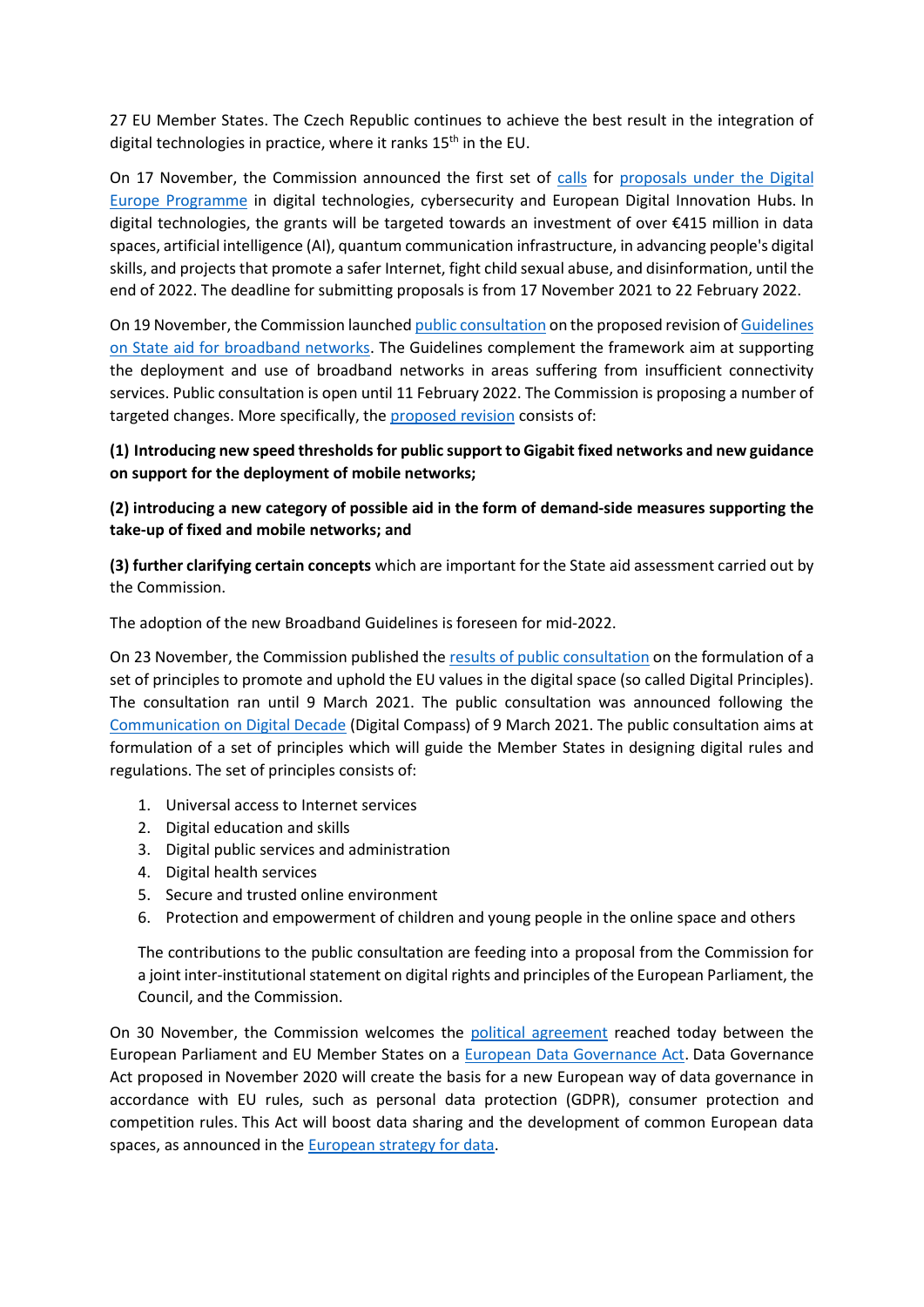27 EU Member States. The Czech Republic continues to achieve the best result in the integration of digital technologies in practice, where it ranks 15<sup>th</sup> in the EU.

On 17 November, the Commission announced the first set of [calls](https://digital-strategy.ec.europa.eu/en/news/first-calls-proposals-under-digital-europe-programme-are-launched-digital-tech-and-european-digital) for [proposals under the Digital](https://ec.europa.eu/info/funding-tenders/opportunities/portal/screen/opportunities/topic-search;callCode=null;freeTextSearchKeyword=;matchWholeText=true;typeCodes=1,0;statusCodes=31094501,31094502,31094503;programmePeriod=2021%20-%202027;programCcm2Id=43152860;programDivisionCode=null;focusAreaCode=null;destination=null;mission=null;geographicalZonesCode=null;programmeDivisionProspect=null;startDateLte=null;startDateGte=null;crossCuttingPriorityCode=null;cpvCode=null;performanceOfDelivery=null;sortQuery=sortStatus;orderBy=asc;onlyTenders=false;topicListKey=topicSearchTablePageState)  [Europe Programme](https://ec.europa.eu/info/funding-tenders/opportunities/portal/screen/opportunities/topic-search;callCode=null;freeTextSearchKeyword=;matchWholeText=true;typeCodes=1,0;statusCodes=31094501,31094502,31094503;programmePeriod=2021%20-%202027;programCcm2Id=43152860;programDivisionCode=null;focusAreaCode=null;destination=null;mission=null;geographicalZonesCode=null;programmeDivisionProspect=null;startDateLte=null;startDateGte=null;crossCuttingPriorityCode=null;cpvCode=null;performanceOfDelivery=null;sortQuery=sortStatus;orderBy=asc;onlyTenders=false;topicListKey=topicSearchTablePageState) in digital technologies, cybersecurity and European Digital Innovation Hubs. In digital technologies, the grants will be targeted towards an investment of over €415 million in data spaces, artificial intelligence (AI), quantum communication infrastructure, in advancing people's digital skills, and projects that promote a safer Internet, fight child sexual abuse, and disinformation, until the end of 2022. The deadline for submitting proposals is from 17 November 2021 to 22 February 2022.

On 19 November, the Commission launche[d public consultation](https://ec.europa.eu/competition-policy/public-consultations/2021-broadband_en) on the proposed revision o[f Guidelines](https://eur-lex.europa.eu/legal-content/EN/TXT/PDF/?uri=CELEX:52013XC0126(01)&from=EN)  [on State aid for broadband networks.](https://eur-lex.europa.eu/legal-content/EN/TXT/PDF/?uri=CELEX:52013XC0126(01)&from=EN) The Guidelines complement the framework aim at supporting the deployment and use of broadband networks in areas suffering from insufficient connectivity services. Public consultation is open until 11 February 2022. The Commission is proposing a number of targeted changes. More specifically, th[e proposed revision](https://ec.europa.eu/commission/presscorner/detail/en/ip_21_6049) consists of:

**(1) Introducing new speed thresholds for public support to Gigabit fixed networks and new guidance on support for the deployment of mobile networks;** 

### **(2) introducing a new category of possible aid in the form of demand-side measures supporting the take-up of fixed and mobile networks; and**

**(3) further clarifying certain concepts** which are important for the State aid assessment carried out by the Commission.

The adoption of the new Broadband Guidelines is foreseen for mid-2022.

On 23 November, the Commission published th[e results of public consultation](https://digital-strategy.ec.europa.eu/en/consultation-results-europeans-express-strong-support-proposed-digital-rights-and-principles) on the formulation of a set of principles to promote and uphold the EU values in the digital space (so called Digital Principles). The consultation ran until 9 March 2021. The public consultation was announced following the [Communication on Digital Decade](https://ec.europa.eu/commission/presscorner/detail/en/ip_21_983) (Digital Compass) of 9 March 2021. The public consultation aims at formulation of a set of principles which will guide the Member States in designing digital rules and regulations. The set of principles consists of:

- 1. Universal access to Internet services
- 2. Digital education and skills
- 3. Digital public services and administration
- 4. Digital health services
- 5. Secure and trusted online environment
- 6. Protection and empowerment of children and young people in the online space and others

The contributions to the public consultation are feeding into a proposal from the Commission for a joint inter-institutional statement on digital rights and principles of the European Parliament, the Council, and the Commission.

On 30 November, the Commission welcomes the [political agreement](https://ec.europa.eu/commission/presscorner/detail/en/ip_21_6428) reached today between the European Parliament and EU Member States on a [European Data Governance Act.](https://eur-lex.europa.eu/legal-content/EN/TXT/PDF/?uri=CELEX:52020PC0767&from=EN) Data Governance Act proposed in November 2020 will create the basis for a new European way of data governance in accordance with EU rules, such as personal data protection (GDPR), consumer protection and competition rules. This Act will boost data sharing and the development of common European data spaces, as announced in the [European strategy for data.](https://digital-strategy.ec.europa.eu/en/policies/strategy-data)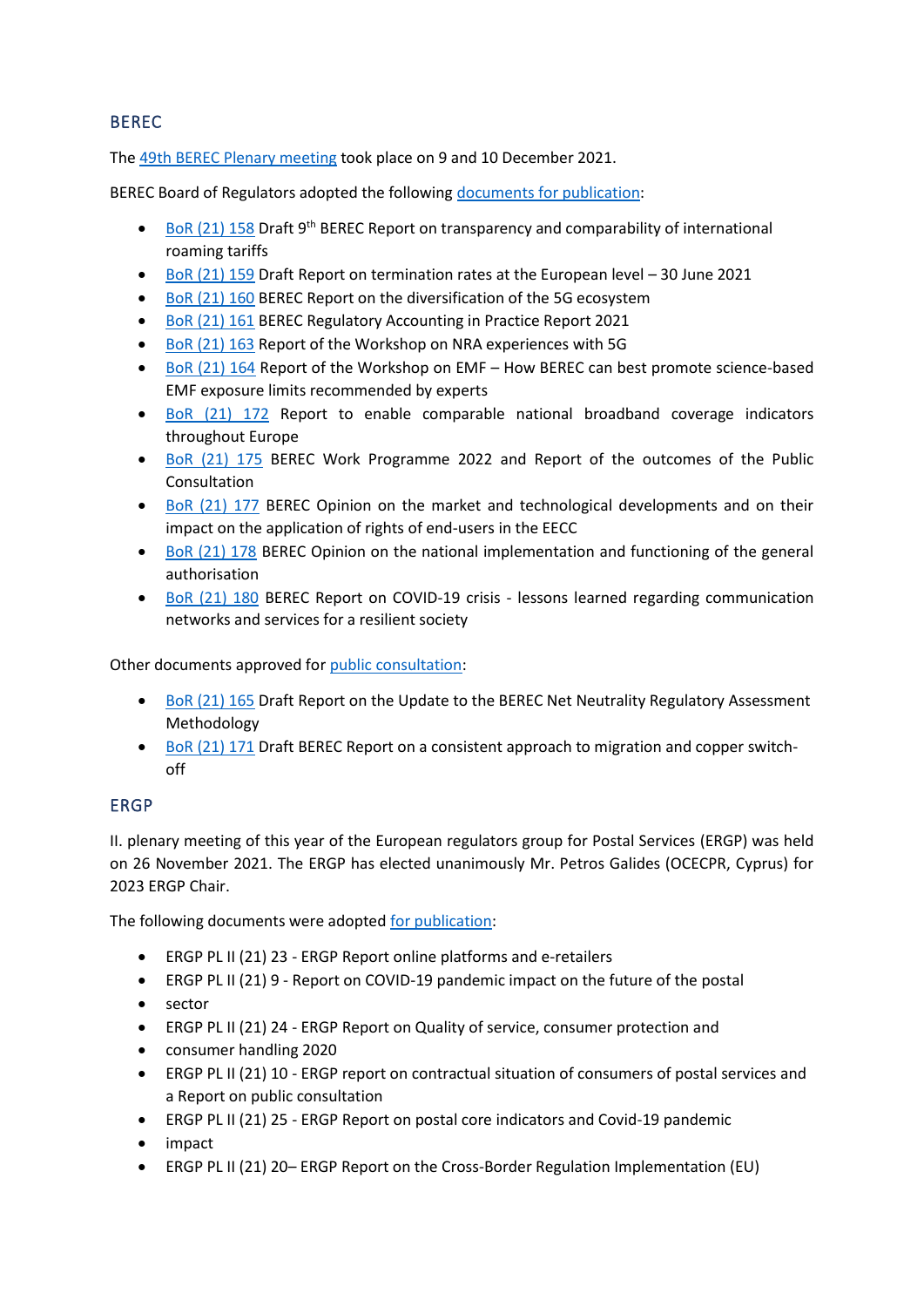### BEREC

The [49th BEREC Plenary meeting](file://///ctu2008.cz/Profiles/Home/sobehartovar/Desktop/CTU%202020/Překlady/MMZ%202021_12/The%2045rd%20BEREC%20Plenary%20meeting%20took%20place%20on%2010%20and%2011%20December%202020.%20A) took place on 9 and 10 December 2021.

BEREC Board of Regulators adopted the following [documents for publication:](https://berec.europa.eu/eng/document_register/subject_matter/berec/annual_work_programmes/10136-berec-work-programme-2022)

- BoR [\(21\) 158](https://berec.europa.eu/eng/document_register/subject_matter/berec/reports/10131-9th-berec-report-on-transparency-and-comparability-of-international-roaming-tariffs) Draft 9<sup>th</sup> BEREC Report on transparency and comparability of international roaming tariffs
- BoR [\(21\) 159](https://berec.europa.eu/eng/document_register/subject_matter/berec/reports/10129-report-on-termination-rates-at-the-european-level-30-june-2021) Draft Report on termination rates at the European level 30 June 2021
- BoR [\(21\) 160](https://berec.europa.eu/eng/document_register/subject_matter/berec/reports/10130-report-on-the-diversification-of-the-5g-ecosystem) BEREC Report on the diversification of the 5G ecosystem
- BoR [\(21\) 161](https://berec.europa.eu/eng/document_register/subject_matter/berec/reports/10134-berec-report-regulatory-accounting-in-practice-2021) BEREC Regulatory Accounting in Practice Report 2021
- BoR [\(21\) 163](https://berec.europa.eu/eng/document_register/subject_matter/berec/reports/10132-summary-report-on-berec-workshop-on-nra-experiences-with-5g-23-september-2021) Report of the Workshop on NRA experiences with 5G
- BoR [\(21\) 164](https://berec.europa.eu/eng/document_register/subject_matter/berec/reports/10128-summary-report-on-expert-workshop-on-how-berec-can-best-promote-science-based-emf-exposure-limits-recommended-by-experts) Report of the Workshop on EMF How BEREC can best promote science-based EMF exposure limits recommended by experts
- BoR [\(21\) 172](https://berec.europa.eu/eng/document_register/subject_matter/berec/reports/10140-berec-report-to-enable-comparable-national-broadband-coverage-indicators-throughout-europe) Report to enable comparable national broadband coverage indicators throughout Europe
- [BoR \(21\) 175](https://berec.europa.eu/eng/document_register/subject_matter/berec/annual_work_programmes/10136-berec-work-programme-2022) BEREC Work Programme 2022 and Report of the outcomes of the Public Consultation
- [BoR \(21\) 177](https://berec.europa.eu/eng/document_register/subject_matter/berec/opinions/10138-berec-opinion-on-the-market-and-technological-developments-and-on-their-impact-on-the-application-of-rights-of-end-users-in-the-eecc) BEREC Opinion on the market and technological developments and on their impact on the application of rights of end-users in the EECC
- [BoR \(21\) 178](https://berec.europa.eu/eng/document_register/subject_matter/berec/opinions/10146-berec-opinion-on-the-national-implementation-and-functioning-of-the-general-authorisation-and-on-their-impact-on-the-functioning-of-the-internal-market-pursuant-to-article-122-paragraph-3-eecc) BEREC Opinion on the national implementation and functioning of the general authorisation
- [BoR \(21\) 180](https://berec.europa.eu/eng/document_register/subject_matter/berec/reports/10135-berec-report-on-covid-19-crisis-lessons-learned-regarding-communication-networks-and-services-for-a-resilient-society) BEREC Report on COVID-19 crisis lessons learned regarding communication networks and services for a resilient society

Other documents approved for [public consultation:](https://berec.europa.eu/eng/news_consultations/ongoing_public_consultations/)

- [BoR \(21\) 165](https://berec.europa.eu/eng/document_register/subject_matter/berec/regulatory_best_practices/methodologies/10148-draft-berec-net-neutrality-regulatory-assessment-methodology) Draft Report on the Update to the BEREC Net Neutrality Regulatory Assessment Methodology
- [BoR \(21\) 171](https://berec.europa.eu/eng/document_register/subject_matter/berec/reports/10147-draft-report-on-a-consistent-approach-to-migration-and-copper-switch-off) Draft BEREC Report on a consistent approach to migration and copper switchoff

### ERGP

II. plenary meeting of this year of the European regulators group for Postal Services (ERGP) was held on 26 November 2021. The ERGP has elected unanimously Mr. Petros Galides (OCECPR, Cyprus) for 2023 ERGP Chair.

The following documents were adopted [for publication:](https://ec.europa.eu/growth/sectors/postal-services/european-regulators-group-postal-services_en)

- ERGP PL II (21) 23 ERGP Report online platforms and e-retailers
- ERGP PL II (21) 9 Report on COVID-19 pandemic impact on the future of the postal
- sector
- ERGP PL II (21) 24 ERGP Report on Quality of service, consumer protection and
- consumer handling 2020
- ERGP PL II (21) 10 ERGP report on contractual situation of consumers of postal services and a Report on public consultation
- ERGP PL II (21) 25 ERGP Report on postal core indicators and Covid-19 pandemic
- impact
- ERGP PL II (21) 20– ERGP Report on the Cross-Border Regulation Implementation (EU)